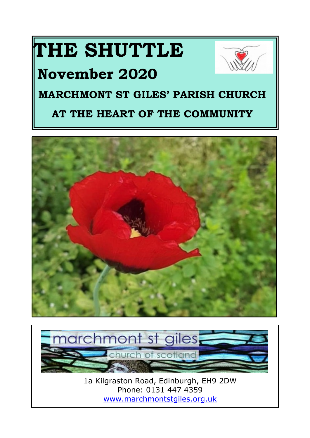# **THE SHUTTLE**

# **November 2020**



# **MARCHMONT ST GILES' PARISH CHURCH**

# **AT THE HEART OF THE COMMUNITY**





1a Kilgraston Road, Edinburgh, EH9 2DW Phone: 0131 447 4359 <www.marchmontstgiles.org.uk>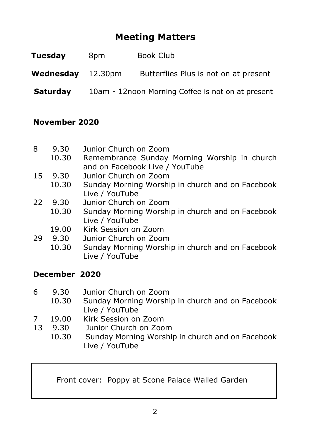# **Meeting Matters**

| Tuesday           | 8pm | Book Club                                         |
|-------------------|-----|---------------------------------------------------|
| Wednesday 12.30pm |     | Butterflies Plus is not on at present             |
| <b>Saturday</b>   |     | 10am - 12noon Morning Coffee is not on at present |

#### **November 2020**

| 8  | 9.30  | Junior Church on Zoom                            |
|----|-------|--------------------------------------------------|
|    | 10.30 | Remembrance Sunday Morning Worship in church     |
|    |       | and on Facebook Live / YouTube                   |
| 15 | 9.30  | Junior Church on Zoom                            |
|    | 10.30 | Sunday Morning Worship in church and on Facebook |
|    |       | Live / YouTube                                   |
| 22 | 9.30  | Junior Church on Zoom                            |
|    | 10.30 | Sunday Morning Worship in church and on Facebook |
|    |       | Live / YouTube                                   |
|    | 19.00 | Kirk Session on Zoom                             |
| 29 | 9.30  | Junior Church on Zoom                            |
|    | 10.30 | Sunday Morning Worship in church and on Facebook |
|    |       | Live / YouTube                                   |
|    |       |                                                  |

#### **December 2020**

| 6 | 9.30  | Junior Church on Zoom                            |
|---|-------|--------------------------------------------------|
|   | 10.30 | Sunday Morning Worship in church and on Facebook |
|   |       | Live / YouTube                                   |
| 7 | 19.00 | Kirk Session on Zoom                             |

13 9.30 Junior Church on Zoom<br>10.30 Sunday Morning Worshi

Sunday Morning Worship in church and on Facebook Live / YouTube

Front cover: Poppy at Scone Palace Walled Garden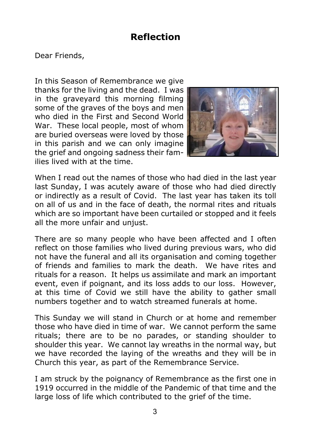#### **Reflection**

Dear Friends,

In this Season of Remembrance we give thanks for the living and the dead. I was in the graveyard this morning filming some of the graves of the boys and men who died in the First and Second World War. These local people, most of whom are buried overseas were loved by those in this parish and we can only imagine the grief and ongoing sadness their families lived with at the time.



When I read out the names of those who had died in the last year last Sunday, I was acutely aware of those who had died directly or indirectly as a result of Covid. The last year has taken its toll on all of us and in the face of death, the normal rites and rituals which are so important have been curtailed or stopped and it feels all the more unfair and unjust.

There are so many people who have been affected and I often reflect on those families who lived during previous wars, who did not have the funeral and all its organisation and coming together of friends and families to mark the death. We have rites and rituals for a reason. It helps us assimilate and mark an important event, even if poignant, and its loss adds to our loss. However, at this time of Covid we still have the ability to gather small numbers together and to watch streamed funerals at home.

This Sunday we will stand in Church or at home and remember those who have died in time of war. We cannot perform the same rituals; there are to be no parades, or standing shoulder to shoulder this year. We cannot lay wreaths in the normal way, but we have recorded the laying of the wreaths and they will be in Church this year, as part of the Remembrance Service.

I am struck by the poignancy of Remembrance as the first one in 1919 occurred in the middle of the Pandemic of that time and the large loss of life which contributed to the grief of the time.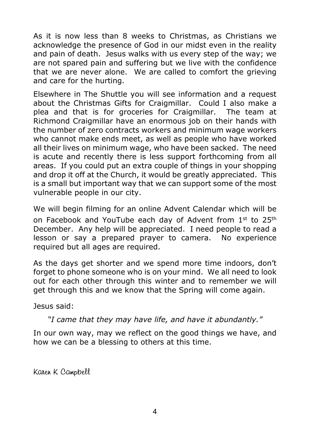As it is now less than 8 weeks to Christmas, as Christians we acknowledge the presence of God in our midst even in the reality and pain of death. Jesus walks with us every step of the way; we are not spared pain and suffering but we live with the confidence that we are never alone. We are called to comfort the grieving and care for the hurting.

Elsewhere in The Shuttle you will see information and a request about the Christmas Gifts for Craigmillar. Could I also make a plea and that is for groceries for Craigmillar. The team at Richmond Craigmillar have an enormous job on their hands with the number of zero contracts workers and minimum wage workers who cannot make ends meet, as well as people who have worked all their lives on minimum wage, who have been sacked. The need is acute and recently there is less support forthcoming from all areas. If you could put an extra couple of things in your shopping and drop it off at the Church, it would be greatly appreciated. This is a small but important way that we can support some of the most vulnerable people in our city.

We will begin filming for an online Advent Calendar which will be on Facebook and YouTube each day of Advent from 1st to 25th December. Any help will be appreciated. I need people to read a lesson or say a prepared prayer to camera. No experience required but all ages are required.

As the days get shorter and we spend more time indoors, don't forget to phone someone who is on your mind. We all need to look out for each other through this winter and to remember we will get through this and we know that the Spring will come again.

Jesus said:

*"I came that they may have life, and have it abundantly."*

In our own way, may we reflect on the good things we have, and how we can be a blessing to others at this time.

Karen K Campbell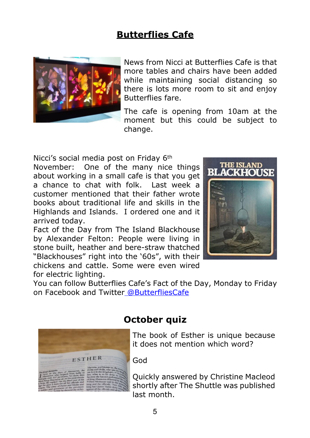## **Butterflies Cafe**



News from Nicci at Butterflies Cafe is that more tables and chairs have been added while maintaining social distancing so there is lots more room to sit and enjoy Butterflies fare.

The cafe is opening from 10am at the moment but this could be subject to change.

Nicci's social media post on Friday 6th

November: One of the many nice things about working in a small cafe is that you get a chance to chat with folk. Last week a customer mentioned that their father wrote books about traditional life and skills in the Highlands and Islands. I ordered one and it arrived today.

Fact of the Day from The Island Blackhouse by Alexander Felton: People were living in stone built, heather and bere-straw thatched "Blackhouses" right into the '60s", with their chickens and cattle. Some were even wired for electric lighting.



You can follow Butterflies Cafe's Fact of the Day, Monday to Friday on Facebook and Twitte[r @ButterfliesCafe](mailto:@ButterfliesCafe.)



## **October quiz**

The book of Esther is unique because it does not mention which word?

God

Quickly answered by Christine Macleod shortly after The Shuttle was published last month.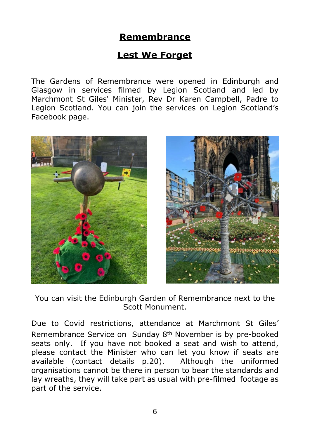## **Remembrance**

#### **Lest We Forget**

The Gardens of Remembrance were opened in Edinburgh and Glasgow in services filmed by Legion Scotland and led by Marchmont St Giles' Minister, Rev Dr Karen Campbell, Padre to Legion Scotland. You can join the services on Legion Scotland's Facebook page.





You can visit the Edinburgh Garden of Remembrance next to the Scott Monument.

Due to Covid restrictions, attendance at Marchmont St Giles' Remembrance Service on Sunday 8th November is by pre-booked seats only. If you have not booked a seat and wish to attend, please contact the Minister who can let you know if seats are available (contact details p.20). Although the uniformed organisations cannot be there in person to bear the standards and lay wreaths, they will take part as usual with pre-filmed footage as part of the service.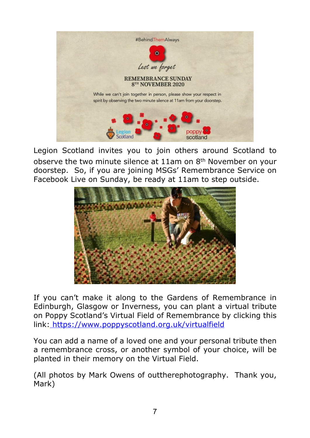

Legion Scotland invites you to join others around Scotland to observe the two minute silence at 11am on 8th November on your doorstep. So, if you are joining MSGs' Remembrance Service on Facebook Live on Sunday, be ready at 11am to step outside.



If you can't make it along to the Gardens of Remembrance in Edinburgh, Glasgow or Inverness, you can plant a virtual tribute on Poppy Scotland's Virtual Field of Remembrance by clicking this link: [https://www.poppyscotland.org.uk/virtualfield]( https://www.poppyscotland.org.uk/virtualfield )

You can add a name of a loved one and your personal tribute then a remembrance cross, or another symbol of your choice, will be planted in their memory on the Virtual Field.

(All photos by Mark Owens of outtherephotography. Thank you, Mark)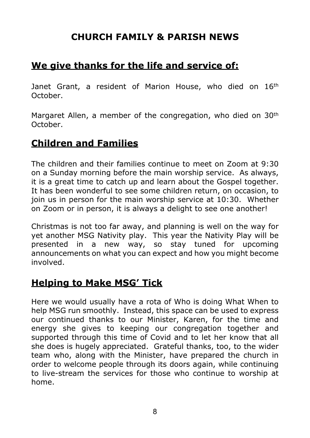#### **CHURCH FAMILY & PARISH NEWS**

#### **We give thanks for the life and service of:**

Janet Grant, a resident of Marion House, who died on 16<sup>th</sup> October.

Margaret Allen, a member of the congregation, who died on 30<sup>th</sup> October.

#### **Children and Families**

The children and their families continue to meet on Zoom at 9:30 on a Sunday morning before the main worship service. As always, it is a great time to catch up and learn about the Gospel together. It has been wonderful to see some children return, on occasion, to join us in person for the main worship service at 10:30. Whether on Zoom or in person, it is always a delight to see one another!

Christmas is not too far away, and planning is well on the way for yet another MSG Nativity play. This year the Nativity Play will be presented in a new way, so stay tuned for upcoming announcements on what you can expect and how you might become involved.

#### **Helping to Make MSG' Tick**

Here we would usually have a rota of Who is doing What When to help MSG run smoothly. Instead, this space can be used to express our continued thanks to our Minister, Karen, for the time and energy she gives to keeping our congregation together and supported through this time of Covid and to let her know that all she does is hugely appreciated. Grateful thanks, too, to the wider team who, along with the Minister, have prepared the church in order to welcome people through its doors again, while continuing to live-stream the services for those who continue to worship at home.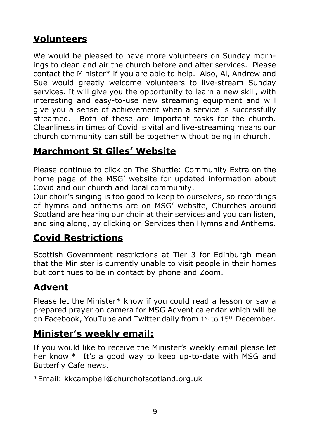# **Volunteers**

We would be pleased to have more volunteers on Sunday mornings to clean and air the church before and after services. Please contact the Minister\* if you are able to help. Also, Al, Andrew and Sue would greatly welcome volunteers to live-stream Sunday services. It will give you the opportunity to learn a new skill, with interesting and easy-to-use new streaming equipment and will give you a sense of achievement when a service is successfully streamed. Both of these are important tasks for the church. Cleanliness in times of Covid is vital and live-streaming means our church community can still be together without being in church.

## **Marchmont St Giles' Website**

Please continue to click on The Shuttle: Community Extra on the home page of the MSG' website for updated information about Covid and our church and local community.

Our choir's singing is too good to keep to ourselves, so recordings of hymns and anthems are on MSG' website, Churches around Scotland are hearing our choir at their services and you can listen, and sing along, by clicking on Services then Hymns and Anthems.

# **Covid Restrictions**

Scottish Government restrictions at Tier 3 for Edinburgh mean that the Minister is currently unable to visit people in their homes but continues to be in contact by phone and Zoom.

# **Advent**

Please let the Minister\* know if you could read a lesson or say a prepared prayer on camera for MSG Advent calendar which will be on Facebook, YouTube and Twitter daily from 1<sup>st</sup> to 15<sup>th</sup> December.

## **Minister's weekly email:**

If you would like to receive the Minister's weekly email please let her know.\* It's a good way to keep up-to-date with MSG and Butterfly Cafe news.

\*Email: kkcampbell@churchofscotland.org.uk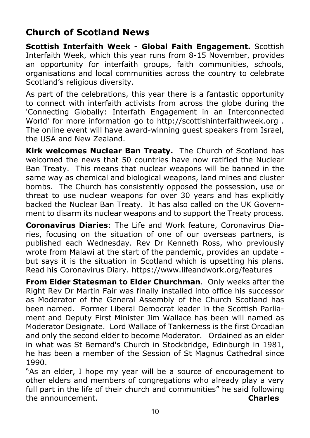## **Church of Scotland News**

**Scottish Interfaith Week - Global Faith Engagement.** Scottish Interfaith Week, which this year runs from 8-15 November, provides an opportunity for interfaith groups, faith communities, schools, organisations and local communities across the country to celebrate Scotland's religious diversity.

As part of the celebrations, this year there is a fantastic opportunity to connect with interfaith activists from across the globe during the 'Connecting Globally: Interfath Engagement in an Interconnected World' for more information go to http://scottishinterfaithweek.org . The online event will have award-winning guest speakers from Israel, the USA and New Zealand.

**Kirk welcomes Nuclear Ban Treaty.** The Church of Scotland has welcomed the news that 50 countries have now ratified the Nuclear Ban Treaty. This means that nuclear weapons will be banned in the same way as chemical and biological weapons, land mines and cluster bombs. The Church has consistently opposed the possession, use or threat to use nuclear weapons for over 30 years and has explicitly backed the Nuclear Ban Treaty. It has also called on the UK Government to disarm its nuclear weapons and to support the Treaty process.

**Coronavirus Diaries**: The Life and Work feature, Coronavirus Diaries, focusing on the situation of one of our overseas partners, is published each Wednesday. Rev Dr Kenneth Ross, who previously wrote from Malawi at the start of the pandemic, provides an update but says it is the situation in Scotland which is upsetting his plans. Read his Coronavirus Diary. https://www.lifeandwork.org/features

**From Elder Statesman to Elder Churchman**. Only weeks after the Right Rev Dr Martin Fair was finally installed into office his successor as Moderator of the General Assembly of the Church Scotland has been named. Former Liberal Democrat leader in the Scottish Parliament and Deputy First Minister Jim Wallace has been will named as Moderator Designate. Lord Wallace of Tankerness is the first Orcadian and only the second elder to become Moderator. Ordained as an elder in what was St Bernard's Church in Stockbridge, Edinburgh in 1981, he has been a member of the Session of St Magnus Cathedral since 1990.

"As an elder, I hope my year will be a source of encouragement to other elders and members of congregations who already play a very full part in the life of their church and communities" he said following the announcement. **Charles**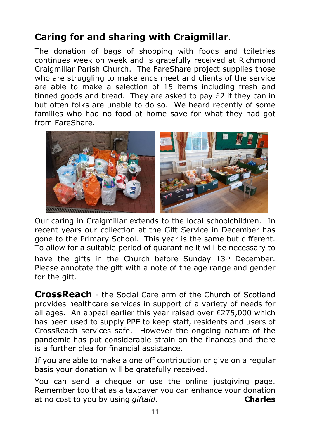# **Caring for and sharing with Craigmillar**.

The donation of bags of shopping with foods and toiletries continues week on week and is gratefully received at Richmond Craigmillar Parish Church. The FareShare project supplies those who are struggling to make ends meet and clients of the service are able to make a selection of 15 items including fresh and tinned goods and bread. They are asked to pay £2 if they can in but often folks are unable to do so. We heard recently of some families who had no food at home save for what they had got from FareShare.



Our caring in Craigmillar extends to the local schoolchildren. In recent years our collection at the Gift Service in December has gone to the Primary School. This year is the same but different. To allow for a suitable period of quarantine it will be necessary to have the gifts in the Church before Sunday 13<sup>th</sup> December. Please annotate the gift with a note of the age range and gender for the gift.

**CrossReach** - the Social Care arm of the Church of Scotland provides healthcare services in support of a variety of needs for all ages. An appeal earlier this year raised over £275,000 which has been used to supply PPE to keep staff, residents and users of CrossReach services safe. However the ongoing nature of the pandemic has put considerable strain on the finances and there is a further plea for financial assistance.

If you are able to make a one off contribution or give on a regular basis your donation will be gratefully received.

You can send a cheque or use the online justgiving page. Remember too that as a taxpayer you can enhance your donation at no cost to you by using *giftaid.* **Charles**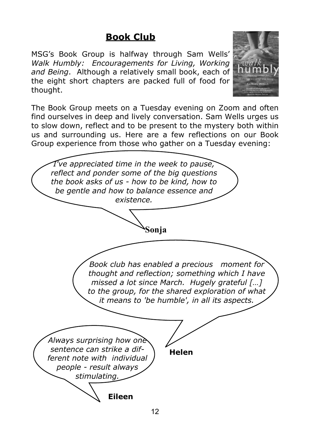# **Book Club**

MSG's Book Group is halfway through Sam Wells' *Walk Humbly: Encouragements for Living, Working and Being*. Although a relatively small book, each of the eight short chapters are packed full of food for thought.



The Book Group meets on a Tuesday evening on Zoom and often find ourselves in deep and lively conversation. Sam Wells urges us to slow down, reflect and to be present to the mystery both within us and surrounding us. Here are a few reflections on our Book Group experience from those who gather on a Tuesday evening:

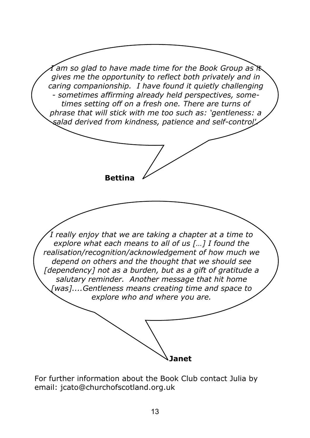

For further information about the Book Club contact Julia by email: jcato@churchofscotland.org.uk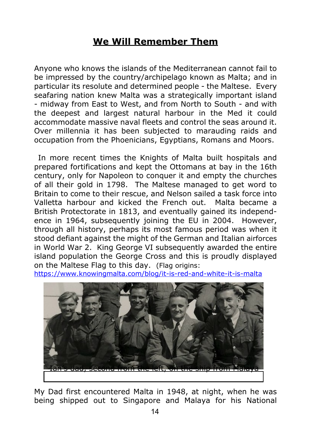#### **We Will Remember Them**

Anyone who knows the islands of the Mediterranean cannot fail to be impressed by the country/archipelago known as Malta; and in particular its resolute and determined people - the Maltese. Every seafaring nation knew Malta was a strategically important island - midway from East to West, and from North to South - and with the deepest and largest natural harbour in the Med it could accommodate massive naval fleets and control the seas around it. Over millennia it has been subjected to marauding raids and occupation from the Phoenicians, Egyptians, Romans and Moors.

 In more recent times the Knights of Malta built hospitals and prepared fortifications and kept the Ottomans at bay in the 16th century, only for Napoleon to conquer it and empty the churches of all their gold in 1798. The Maltese managed to get word to Britain to come to their rescue, and Nelson sailed a task force into Valletta harbour and kicked the French out. Malta became a British Protectorate in 1813, and eventually gained its independence in 1964, subsequently joining the EU in 2004. However, through all history, perhaps its most famous period was when it stood defiant against the might of the German and Italian airforces in World War 2. King George VI subsequently awarded the entire island population the George Cross and this is proudly displayed on the Maltese Flag to this day. (Flag origins:

<https://www.knowingmalta.com/blog/it-is-red-and-white-it-is-malta>



My Dad first encountered Malta in 1948, at night, when he was being shipped out to Singapore and Malaya for his National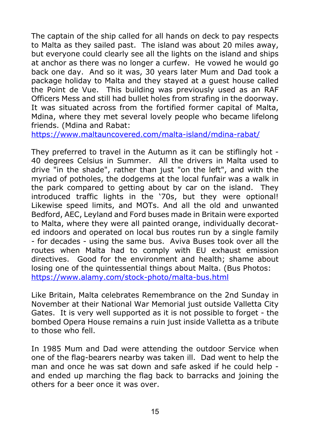The captain of the ship called for all hands on deck to pay respects to Malta as they sailed past. The island was about 20 miles away, but everyone could clearly see all the lights on the island and ships at anchor as there was no longer a curfew. He vowed he would go back one day. And so it was, 30 years later Mum and Dad took a package holiday to Malta and they stayed at a guest house called the Point de Vue. This building was previously used as an RAF Officers Mess and still had bullet holes from strafing in the doorway. It was situated across from the fortified former capital of Malta, Mdina, where they met several lovely people who became lifelong friends. (Mdina and Rabat:

<https://www.maltauncovered.com/malta-island/mdina-rabat/>

They preferred to travel in the Autumn as it can be stiflingly hot - 40 degrees Celsius in Summer. All the drivers in Malta used to drive "in the shade", rather than just "on the left", and with the myriad of potholes, the dodgems at the local funfair was a walk in the park compared to getting about by car on the island. They introduced traffic lights in the '70s, but they were optional! Likewise speed limits, and MOTs. And all the old and unwanted Bedford, AEC, Leyland and Ford buses made in Britain were exported to Malta, where they were all painted orange, individually decorated indoors and operated on local bus routes run by a single family - for decades - using the same bus. Aviva Buses took over all the routes when Malta had to comply with EU exhaust emission directives. Good for the environment and health; shame about losing one of the quintessential things about Malta. (Bus Photos: <https://www.alamy.com/stock-photo/malta-bus.html>

Like Britain, Malta celebrates Remembrance on the 2nd Sunday in November at their National War Memorial just outside Valletta City Gates. It is very well supported as it is not possible to forget - the bombed Opera House remains a ruin just inside Valletta as a tribute to those who fell.

In 1985 Mum and Dad were attending the outdoor Service when one of the flag-bearers nearby was taken ill. Dad went to help the man and once he was sat down and safe asked if he could help and ended up marching the flag back to barracks and joining the others for a beer once it was over.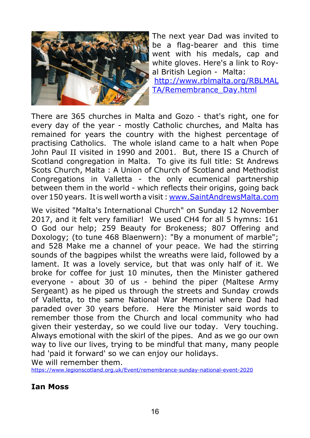

The next year Dad was invited to be a flag-bearer and this time went with his medals, cap and white gloves. Here's a link to Royal British Legion - Malta:

[http://www.rblmalta.org/RBLMAL](http://www.rblmalta.org/RBLMALTA/Remembrance_Day.html) [TA/Remembrance\\_Day.html](http://www.rblmalta.org/RBLMALTA/Remembrance_Day.html)

There are 365 churches in Malta and Gozo - that's right, one for every day of the year - mostly Catholic churches, and Malta has remained for years the country with the highest percentage of practising Catholics. The whole island came to a halt when Pope John Paul II visited in 1990 and 2001. But, there IS a Church of Scotland congregation in Malta. To give its full title: St Andrews Scots Church, Malta : A Union of Church of Scotland and Methodist Congregations in Valletta - the only ecumenical partnership between them in the world - which reflects their origins, going back over 150 years. It is well worth a visit :<www.SaintAndrewsMalta.com>

We visited "Malta's International Church" on Sunday 12 November 2017, and it felt very familiar! We used CH4 for all 5 hymns: 161 O God our help; 259 Beauty for Brokeness; 807 Offering and Doxology; (to tune 468 Blaenwern): "By a monument of marble"; and 528 Make me a channel of your peace. We had the stirring sounds of the bagpipes whilst the wreaths were laid, followed by a lament. It was a lovely service, but that was only half of it. We broke for coffee for just 10 minutes, then the Minister gathered everyone - about 30 of us - behind the piper (Maltese Army Sergeant) as he piped us through the streets and Sunday crowds of Valletta, to the same National War Memorial where Dad had paraded over 30 years before. Here the Minister said words to remember those from the Church and local community who had given their yesterday, so we could live our today. Very touching. Always emotional with the skirl of the pipes. And as we go our own way to live our lives, trying to be mindful that many, many people had 'paid it forward' so we can enjoy our holidays. We will remember them.

<https://www.legionscotland.org.uk/Event/remembrance-sunday-national-event-2020>

#### **Ian Moss**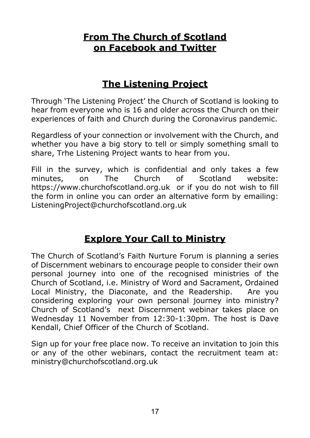#### **From The Church of Scotland on Facebook and Twitter**

## **The Listening Project**

Through 'The Listening Project' the Church of Scotland is looking to hear from everyone who is 16 and older across the Church on their experiences of faith and Church during the Coronavirus pandemic.

Regardless of your connection or involvement with the Church, and whether you have a big story to tell or simply something small to share, Trhe Listening Project wants to hear from you.

Fill in the survey, which is confidential and only takes a few minutes, on The Church of Scotland website: https://www.churchofscotland.org.uk or if you do not wish to fill the form in online you can order an alternative form by emailing: ListeningProject@churchofscotland.org.uk

## **Explore Your Call to Ministry**

The Church of Scotland's Faith Nurture Forum is planning a series of Discernment webinars to encourage people to consider their own personal journey into one of the recognised ministries of the Church of Scotland, i.e. Ministry of Word and Sacrament, Ordained Local Ministry, the Diaconate, and the Readership. Are you considering exploring your own personal journey into ministry? Church of Scotland's next Discernment webinar takes place on Wednesday 11 November from 12:30-1:30pm. The host is Dave Kendall, Chief Officer of the Church of Scotland.

Sign up for your free place now. To receive an invitation to join this or any of the other webinars, contact the recruitment team at[:](mailto:ministry@churchofscotland.org.uk) ministry@churchofscotland.org.uk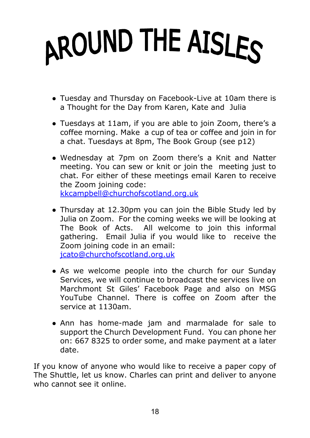# AROUND THE AISLES

- Tuesday and Thursday on Facebook-Live at 10am there is a Thought for the Day from Karen, Kate and Julia
- Tuesdays at 11am, if you are able to join Zoom, there's a coffee morning. Make a cup of tea or coffee and join in for a chat. Tuesdays at 8pm, The Book Group (see p12)
- Wednesday at 7pm on Zoom there's a Knit and Natter meeting. You can sew or knit or join the meeting just to chat. For either of these meetings email Karen to receive the Zoom joining code: [kkcampbell@churchofscotland.org.uk](mailto:kkcampbell@churchofscotland.org.uk)
- Thursday at 12.30pm you can join the Bible Study led by Julia on Zoom. For the coming weeks we will be looking at The Book of Acts. All welcome to join this informal gathering. Email Julia if you would like to receive the Zoom joining code in an email: [jcato@churchofscotland.org.uk](mailto:jcato@churchofscotland.org.uk)
- As we welcome people into the church for our Sunday Services, we will continue to broadcast the services live on Marchmont St Giles' Facebook Page and also on MSG YouTube Channel. There is coffee on Zoom after the service at 1130am.
- Ann has home-made jam and marmalade for sale to support the Church Development Fund. You can phone her on: 667 8325 to order some, and make payment at a later date.

If you know of anyone who would like to receive a paper copy of The Shuttle, let us know. Charles can print and deliver to anyone who cannot see it online.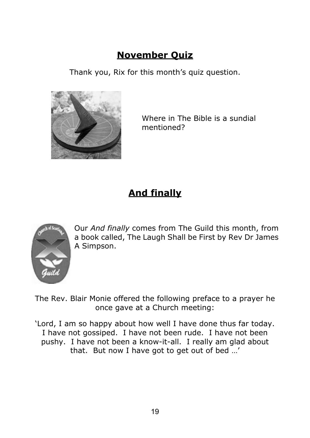# **November Quiz**

Thank you, Rix for this month's quiz question.



Where in The Bible is a sundial mentioned?

# **And finally**



Our *And finally* comes from The Guild this month, from a book called, The Laugh Shall be First by Rev Dr James A Simpson.

The Rev. Blair Monie offered the following preface to a prayer he once gave at a Church meeting:

'Lord, I am so happy about how well I have done thus far today. I have not gossiped. I have not been rude. I have not been pushy. I have not been a know-it-all. I really am glad about that. But now I have got to get out of bed …'